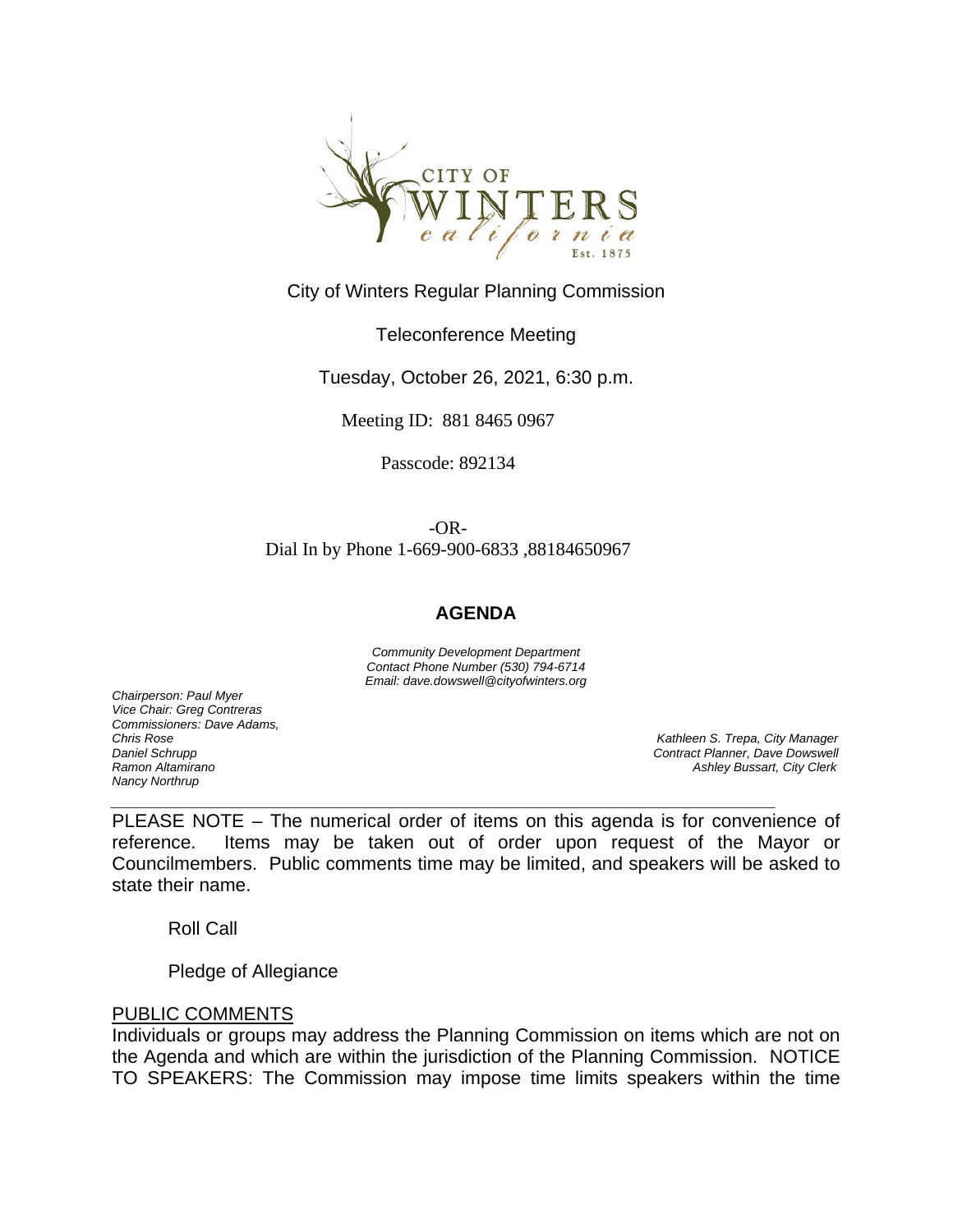

# City of Winters Regular Planning Commission

## Teleconference Meeting

Tuesday, October 26, 2021, 6:30 p.m.

Meeting ID: 881 8465 0967

Passcode: 892134

-OR-Dial In by Phone 1-669-900-6833 ,88184650967

### **AGENDA**

*Community Development Department Contact Phone Number (530) 794-6714 Email: dave.dowswell@cityofwinters.org* 

*Chairperson: Paul Myer Vice Chair: Greg Contreras Commissioners: Dave Adams, Nancy Northrup*

*Chris Rose Kathleen S. Trepa, City Manager Daniel Schrupp Contract Planner, Dave Dowswell Ramon Altamirano Ashley Bussart, City Clerk* 

PLEASE NOTE – The numerical order of items on this agenda is for convenience of reference. Items may be taken out of order upon request of the Mayor or Councilmembers. Public comments time may be limited, and speakers will be asked to state their name.

*\_\_\_\_\_\_\_\_\_\_\_\_\_\_\_\_\_\_\_\_\_\_\_\_\_\_\_\_\_\_\_\_\_\_\_\_\_\_\_\_\_\_\_\_\_\_\_\_\_\_\_\_\_\_\_\_\_\_\_\_\_\_\_\_* 

Roll Call

Pledge of Allegiance

### PUBLIC COMMENTS

Individuals or groups may address the Planning Commission on items which are not on the Agenda and which are within the jurisdiction of the Planning Commission. NOTICE TO SPEAKERS: The Commission may impose time limits speakers within the time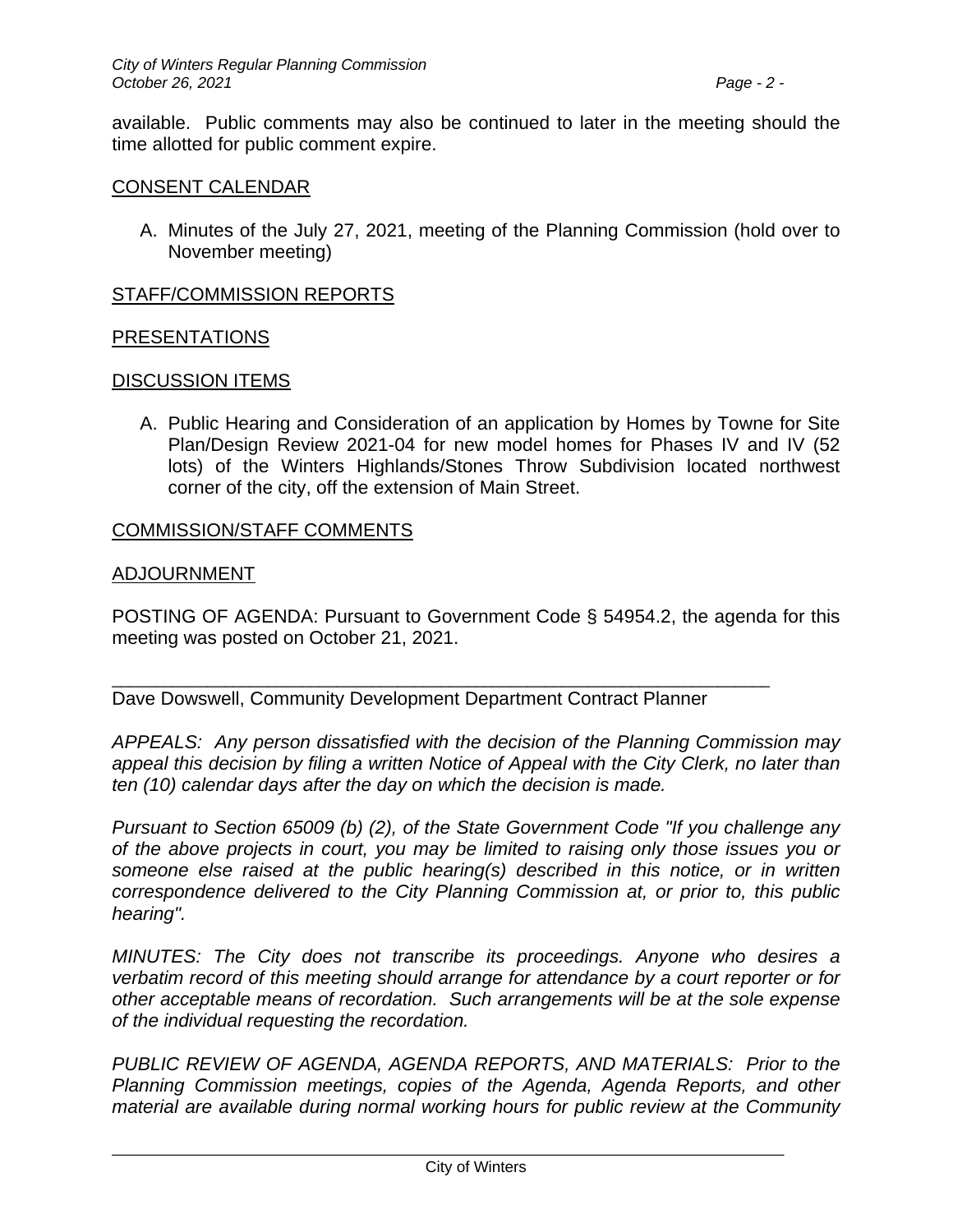available. Public comments may also be continued to later in the meeting should the time allotted for public comment expire.

## CONSENT CALENDAR

A. Minutes of the July 27, 2021, meeting of the Planning Commission (hold over to November meeting)

## STAFF/COMMISSION REPORTS

## PRESENTATIONS

### DISCUSSION ITEMS

A. Public Hearing and Consideration of an application by Homes by Towne for Site Plan/Design Review 2021-04 for new model homes for Phases IV and IV (52 lots) of the Winters Highlands/Stones Throw Subdivision located northwest corner of the city, off the extension of Main Street.

## COMMISSION/STAFF COMMENTS

### ADJOURNMENT

POSTING OF AGENDA: Pursuant to Government Code § 54954.2, the agenda for this meeting was posted on October 21, 2021.

Dave Dowswell, Community Development Department Contract Planner

\_\_\_\_\_\_\_\_\_\_\_\_\_\_\_\_\_\_\_\_\_\_\_\_\_\_\_\_\_\_\_\_\_\_\_\_\_\_\_\_\_\_\_\_\_\_\_\_\_\_\_\_\_\_\_\_\_\_\_\_\_\_\_\_\_\_\_\_\_\_\_\_\_\_\_\_

*APPEALS: Any person dissatisfied with the decision of the Planning Commission may appeal this decision by filing a written Notice of Appeal with the City Clerk, no later than ten (10) calendar days after the day on which the decision is made.* 

*Pursuant to Section 65009 (b) (2), of the State Government Code "If you challenge any of the above projects in court, you may be limited to raising only those issues you or someone else raised at the public hearing(s) described in this notice, or in written correspondence delivered to the City Planning Commission at, or prior to, this public hearing".* 

*MINUTES: The City does not transcribe its proceedings. Anyone who desires a verbatim record of this meeting should arrange for attendance by a court reporter or for other acceptable means of recordation. Such arrangements will be at the sole expense of the individual requesting the recordation.* 

*PUBLIC REVIEW OF AGENDA, AGENDA REPORTS, AND MATERIALS: Prior to the Planning Commission meetings, copies of the Agenda, Agenda Reports, and other material are available during normal working hours for public review at the Community* 

\_\_\_\_\_\_\_\_\_\_\_\_\_\_\_\_\_\_\_\_\_\_\_\_\_\_\_\_\_\_\_\_\_\_\_\_\_\_\_\_\_\_\_\_\_\_\_\_\_\_\_\_\_\_\_\_\_\_\_\_\_\_\_\_\_\_\_\_\_\_\_\_